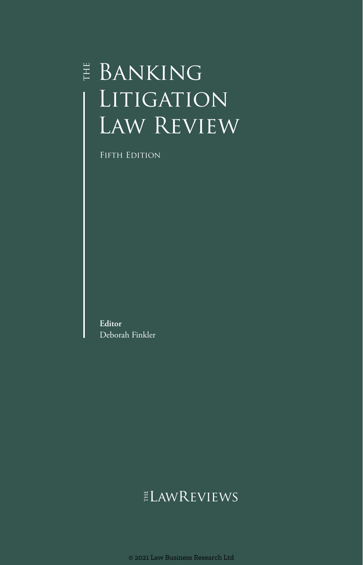# $\overset{\scriptscriptstyle \mathrm{H}}{\scriptscriptstyle \mathrm{E}}$  Banking LITIGATION LAW REVIEW

FIFTH EDITION

**Editor** Deborah Finkler

## **ELAWREVIEWS**

© 2021 Law Business Research Ltd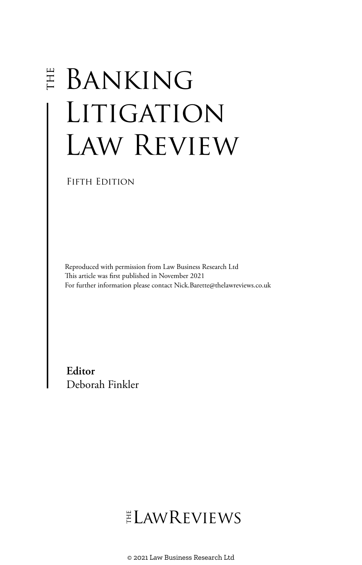# **E BANKING** LITIGATION Law Review

FIFTH EDITION

Reproduced with permission from Law Business Research Ltd This article was first published in November 2021 For further information please contact Nick.Barette@thelawreviews.co.uk

**Editor** Deborah Finkler

# ELAWREVIEWS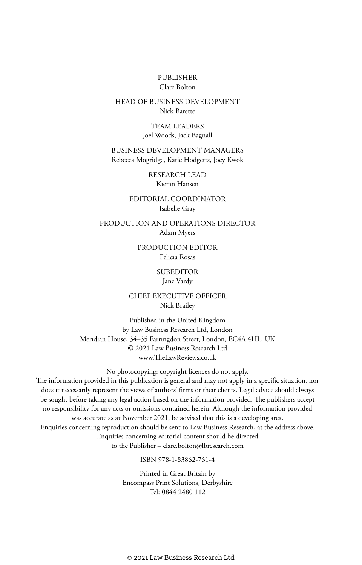#### PUBLISHER Clare Bolton

#### HEAD OF BUSINESS DEVELOPMENT Nick Barette

TEAM LEADERS Joel Woods, Jack Bagnall

BUSINESS DEVELOPMENT MANAGERS Rebecca Mogridge, Katie Hodgetts, Joey Kwok

> RESEARCH LEAD Kieran Hansen

EDITORIAL COORDINATOR Isabelle Gray

PRODUCTION AND OPERATIONS DIRECTOR Adam Myers

> PRODUCTION EDITOR Felicia Rosas

#### **SUBEDITOR**

Jane Vardy

CHIEF EXECUTIVE OFFICER Nick Brailey

Published in the United Kingdom by Law Business Research Ltd, London Meridian House, 34–35 Farringdon Street, London, EC4A 4HL, UK © 2021 Law Business Research Ltd www.TheLawReviews.co.uk

No photocopying: copyright licences do not apply. The information provided in this publication is general and may not apply in a specific situation, nor does it necessarily represent the views of authors' firms or their clients. Legal advice should always be sought before taking any legal action based on the information provided. The publishers accept no responsibility for any acts or omissions contained herein. Although the information provided was accurate as at November 2021, be advised that this is a developing area. Enquiries concerning reproduction should be sent to Law Business Research, at the address above. Enquiries concerning editorial content should be directed to the Publisher – clare.bolton@lbresearch.com

ISBN 978-1-83862-761-4

Printed in Great Britain by Encompass Print Solutions, Derbyshire Tel: 0844 2480 112

© 2021 Law Business Research Ltd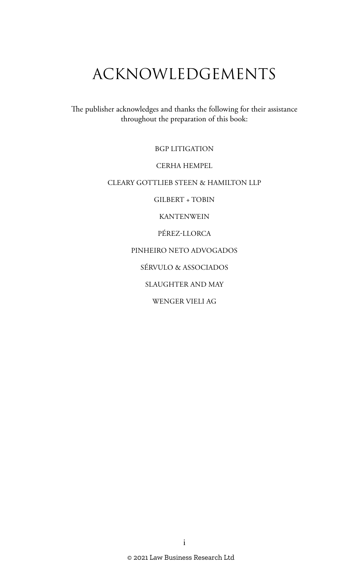# ACKNOWLEDGEMENTS

The publisher acknowledges and thanks the following for their assistance throughout the preparation of this book:

BGP LITIGATION

CERHA HEMPEL

CLEARY GOTTLIEB STEEN & HAMILTON LLP

GILBERT + TOBIN

KANTENWEIN

PÉREZ-LLORCA

PINHEIRO NETO ADVOGADOS

SÉRVULO & ASSOCIADOS

SLAUGHTER AND MAY

WENGER VIELI AG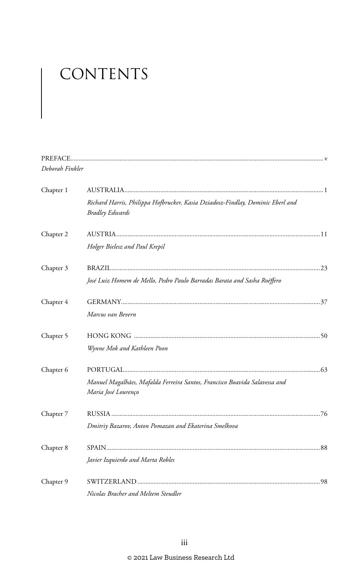# CONTENTS

| Deborah Finkler |                                                                                                          |  |
|-----------------|----------------------------------------------------------------------------------------------------------|--|
| Chapter 1       |                                                                                                          |  |
|                 | Richard Harris, Philippa Hofbrucker, Kasia Dziadosz-Findlay, Dominic Eberl and<br><b>Bradley Edwards</b> |  |
| Chapter 2       |                                                                                                          |  |
|                 | Holger Bielesz and Paul Krepil                                                                           |  |
| Chapter 3       |                                                                                                          |  |
|                 | José Luiz Homem de Mello, Pedro Paulo Barradas Barata and Sasha Roéffero                                 |  |
| Chapter 4       |                                                                                                          |  |
|                 | Marcus van Bevern                                                                                        |  |
| Chapter 5       |                                                                                                          |  |
|                 | Wynne Mok and Kathleen Poon                                                                              |  |
| Chapter 6       |                                                                                                          |  |
|                 | Manuel Magalhães, Mafalda Ferreira Santos, Francisco Boavida Salavessa and<br>Maria José Lourenço        |  |
| Chapter 7       |                                                                                                          |  |
|                 | Dmitriy Bazarov, Anton Pomazan and Ekaterina Smelkova                                                    |  |
| Chapter 8       |                                                                                                          |  |
|                 | Javier Izquierdo and Marta Robles                                                                        |  |
| Chapter 9       |                                                                                                          |  |
|                 | Nicolas Bracher and Meltem Steudler                                                                      |  |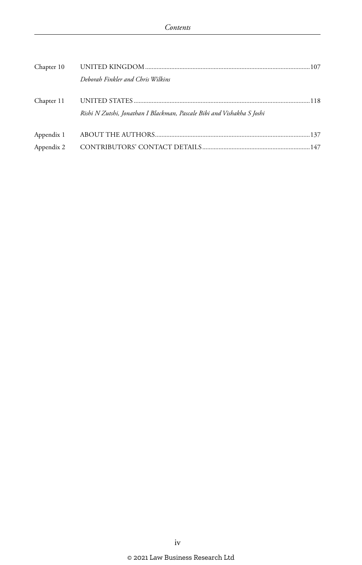| Chapter 10               |                                                                        |  |
|--------------------------|------------------------------------------------------------------------|--|
|                          | Deborah Finkler and Chris Wilkins                                      |  |
| Chapter 11               | Rishi N Zutshi, Jonathan I Blackman, Pascale Bibi and Vishakha S Joshi |  |
| Appendix 1<br>Appendix 2 |                                                                        |  |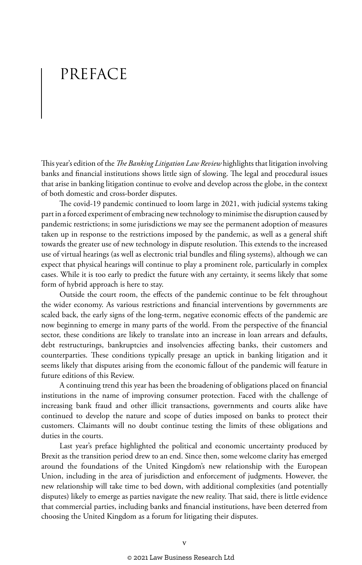# PREFACE

This year's edition of the *The Banking Litigation Law Review* highlights that litigation involving banks and financial institutions shows little sign of slowing. The legal and procedural issues that arise in banking litigation continue to evolve and develop across the globe, in the context of both domestic and cross-border disputes.

The covid-19 pandemic continued to loom large in 2021, with judicial systems taking part in a forced experiment of embracing new technology to minimise the disruption caused by pandemic restrictions; in some jurisdictions we may see the permanent adoption of measures taken up in response to the restrictions imposed by the pandemic, as well as a general shift towards the greater use of new technology in dispute resolution. This extends to the increased use of virtual hearings (as well as electronic trial bundles and filing systems), although we can expect that physical hearings will continue to play a prominent role, particularly in complex cases. While it is too early to predict the future with any certainty, it seems likely that some form of hybrid approach is here to stay.

Outside the court room, the effects of the pandemic continue to be felt throughout the wider economy. As various restrictions and financial interventions by governments are scaled back, the early signs of the long-term, negative economic effects of the pandemic are now beginning to emerge in many parts of the world. From the perspective of the financial sector, these conditions are likely to translate into an increase in loan arrears and defaults, debt restructurings, bankruptcies and insolvencies affecting banks, their customers and counterparties. These conditions typically presage an uptick in banking litigation and it seems likely that disputes arising from the economic fallout of the pandemic will feature in future editions of this Review.

A continuing trend this year has been the broadening of obligations placed on financial institutions in the name of improving consumer protection. Faced with the challenge of increasing bank fraud and other illicit transactions, governments and courts alike have continued to develop the nature and scope of duties imposed on banks to protect their customers. Claimants will no doubt continue testing the limits of these obligations and duties in the courts.

Last year's preface highlighted the political and economic uncertainty produced by Brexit as the transition period drew to an end. Since then, some welcome clarity has emerged around the foundations of the United Kingdom's new relationship with the European Union, including in the area of jurisdiction and enforcement of judgments. However, the new relationship will take time to bed down, with additional complexities (and potentially disputes) likely to emerge as parties navigate the new reality. That said, there is little evidence that commercial parties, including banks and financial institutions, have been deterred from choosing the United Kingdom as a forum for litigating their disputes.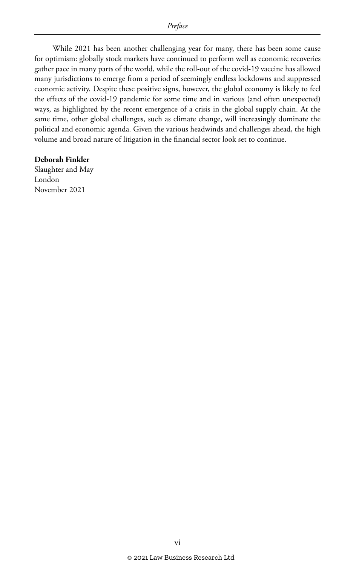While 2021 has been another challenging year for many, there has been some cause for optimism: globally stock markets have continued to perform well as economic recoveries gather pace in many parts of the world, while the roll-out of the covid-19 vaccine has allowed many jurisdictions to emerge from a period of seemingly endless lockdowns and suppressed economic activity. Despite these positive signs, however, the global economy is likely to feel the effects of the covid-19 pandemic for some time and in various (and often unexpected) ways, as highlighted by the recent emergence of a crisis in the global supply chain. At the same time, other global challenges, such as climate change, will increasingly dominate the political and economic agenda. Given the various headwinds and challenges ahead, the high volume and broad nature of litigation in the financial sector look set to continue.

#### **Deborah Finkler**

Slaughter and May London November 2021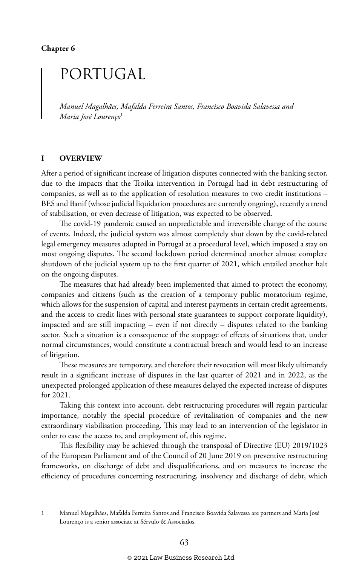## PORTUGAL

*Manuel Magalhães, Mafalda Ferreira Santos, Francisco Boavida Salavessa and Maria José Lourenço*<sup>1</sup>

#### **I OVERVIEW**

After a period of significant increase of litigation disputes connected with the banking sector, due to the impacts that the Troika intervention in Portugal had in debt restructuring of companies, as well as to the application of resolution measures to two credit institutions – BES and Banif (whose judicial liquidation procedures are currently ongoing), recently a trend of stabilisation, or even decrease of litigation, was expected to be observed.

The covid-19 pandemic caused an unpredictable and irreversible change of the course of events. Indeed, the judicial system was almost completely shut down by the covid-related legal emergency measures adopted in Portugal at a procedural level, which imposed a stay on most ongoing disputes. The second lockdown period determined another almost complete shutdown of the judicial system up to the first quarter of 2021, which entailed another halt on the ongoing disputes.

The measures that had already been implemented that aimed to protect the economy, companies and citizens (such as the creation of a temporary public moratorium regime, which allows for the suspension of capital and interest payments in certain credit agreements, and the access to credit lines with personal state guarantees to support corporate liquidity), impacted and are still impacting – even if not directly – disputes related to the banking sector. Such a situation is a consequence of the stoppage of effects of situations that, under normal circumstances, would constitute a contractual breach and would lead to an increase of litigation.

These measures are temporary, and therefore their revocation will most likely ultimately result in a significant increase of disputes in the last quarter of 2021 and in 2022, as the unexpected prolonged application of these measures delayed the expected increase of disputes for 2021.

Taking this context into account, debt restructuring procedures will regain particular importance, notably the special procedure of revitalisation of companies and the new extraordinary viabilisation proceeding. This may lead to an intervention of the legislator in order to ease the access to, and employment of, this regime.

This flexibility may be achieved through the transposal of Directive (EU) 2019/1023 of the European Parliament and of the Council of 20 June 2019 on preventive restructuring frameworks, on discharge of debt and disqualifications, and on measures to increase the efficiency of procedures concerning restructuring, insolvency and discharge of debt, which

<sup>1</sup> Manuel Magalhães, Mafalda Ferreira Santos and Francisco Boavida Salavessa are partners and Maria José Lourenço is a senior associate at Sérvulo & Associados.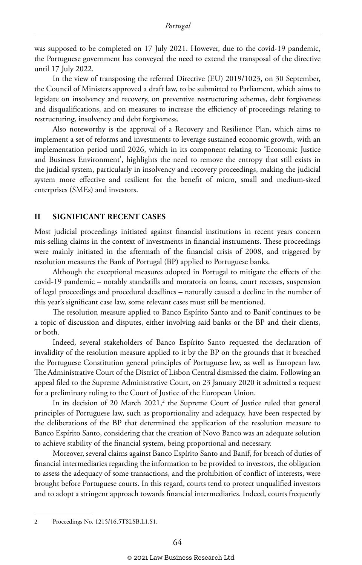was supposed to be completed on 17 July 2021. However, due to the covid-19 pandemic, the Portuguese government has conveyed the need to extend the transposal of the directive until 17 July 2022.

In the view of transposing the referred Directive (EU) 2019/1023, on 30 September, the Council of Ministers approved a draft law, to be submitted to Parliament, which aims to legislate on insolvency and recovery, on preventive restructuring schemes, debt forgiveness and disqualifications, and on measures to increase the efficiency of proceedings relating to restructuring, insolvency and debt forgiveness.

Also noteworthy is the approval of a Recovery and Resilience Plan, which aims to implement a set of reforms and investments to leverage sustained economic growth, with an implementation period until 2026, which in its component relating to 'Economic Justice and Business Environment', highlights the need to remove the entropy that still exists in the judicial system, particularly in insolvency and recovery proceedings, making the judicial system more effective and resilient for the benefit of micro, small and medium-sized enterprises (SMEs) and investors.

#### **II SIGNIFICANT RECENT CASES**

Most judicial proceedings initiated against financial institutions in recent years concern mis-selling claims in the context of investments in financial instruments. These proceedings were mainly initiated in the aftermath of the financial crisis of 2008, and triggered by resolution measures the Bank of Portugal (BP) applied to Portuguese banks.

Although the exceptional measures adopted in Portugal to mitigate the effects of the covid-19 pandemic – notably standstills and moratoria on loans, court recesses, suspension of legal proceedings and procedural deadlines – naturally caused a decline in the number of this year's significant case law, some relevant cases must still be mentioned.

The resolution measure applied to Banco Espírito Santo and to Banif continues to be a topic of discussion and disputes, either involving said banks or the BP and their clients, or both.

Indeed, several stakeholders of Banco Espírito Santo requested the declaration of invalidity of the resolution measure applied to it by the BP on the grounds that it breached the Portuguese Constitution general principles of Portuguese law, as well as European law. The Administrative Court of the District of Lisbon Central dismissed the claim. Following an appeal filed to the Supreme Administrative Court, on 23 January 2020 it admitted a request for a preliminary ruling to the Court of Justice of the European Union.

In its decision of 20 March 2021,<sup>2</sup> the Supreme Court of Justice ruled that general principles of Portuguese law, such as proportionality and adequacy, have been respected by the deliberations of the BP that determined the application of the resolution measure to Banco Espírito Santo, considering that the creation of Novo Banco was an adequate solution to achieve stability of the financial system, being proportional and necessary.

Moreover, several claims against Banco Espírito Santo and Banif, for breach of duties of financial intermediaries regarding the information to be provided to investors, the obligation to assess the adequacy of some transactions, and the prohibition of conflict of interests, were brought before Portuguese courts. In this regard, courts tend to protect unqualified investors and to adopt a stringent approach towards financial intermediaries. Indeed, courts frequently

<sup>2</sup> Proceedings No. 1215/16.5T8LSB.L1.S1.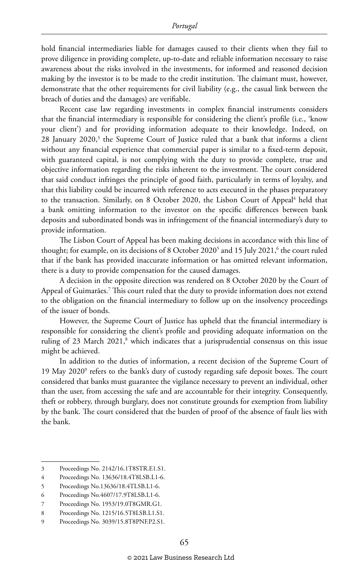hold financial intermediaries liable for damages caused to their clients when they fail to prove diligence in providing complete, up-to-date and reliable information necessary to raise awareness about the risks involved in the investments, for informed and reasoned decision making by the investor is to be made to the credit institution. The claimant must, however, demonstrate that the other requirements for civil liability (e.g., the casual link between the breach of duties and the damages) are verifiable.

Recent case law regarding investments in complex financial instruments considers that the financial intermediary is responsible for considering the client's profile (i.e., 'know your client') and for providing information adequate to their knowledge. Indeed, on 28 January 2020,<sup>3</sup> the Supreme Court of Justice ruled that a bank that informs a client without any financial experience that commercial paper is similar to a fixed-term deposit, with guaranteed capital, is not complying with the duty to provide complete, true and objective information regarding the risks inherent to the investment. The court considered that said conduct infringes the principle of good faith, particularly in terms of loyalty, and that this liability could be incurred with reference to acts executed in the phases preparatory to the transaction. Similarly, on 8 October 2020, the Lisbon Court of Appeal<sup>4</sup> held that a bank omitting information to the investor on the specific differences between bank deposits and subordinated bonds was in infringement of the financial intermediary's duty to provide information.

The Lisbon Court of Appeal has been making decisions in accordance with this line of thought; for example, on its decisions of 8 October 2020<sup>5</sup> and 15 July 2021, $^{\rm 6}$  the court ruled that if the bank has provided inaccurate information or has omitted relevant information, there is a duty to provide compensation for the caused damages.

A decision in the opposite direction was rendered on 8 October 2020 by the Court of Appeal of Guimarães.7 This court ruled that the duty to provide information does not extend to the obligation on the financial intermediary to follow up on the insolvency proceedings of the issuer of bonds.

However, the Supreme Court of Justice has upheld that the financial intermediary is responsible for considering the client's profile and providing adequate information on the ruling of 23 March 2021,<sup>8</sup> which indicates that a jurisprudential consensus on this issue might be achieved.

In addition to the duties of information, a recent decision of the Supreme Court of 19 May 2020<sup>9</sup> refers to the bank's duty of custody regarding safe deposit boxes. The court considered that banks must guarantee the vigilance necessary to prevent an individual, other than the user, from accessing the safe and are accountable for their integrity. Consequently, theft or robbery, through burglary, does not constitute grounds for exemption from liability by the bank. The court considered that the burden of proof of the absence of fault lies with the bank.

<sup>3</sup> Proceedings No. 2142/16.1T8STR.E1.S1.

<sup>4</sup> Proceedings No. 13636/18.4T8LSB.L1-6.

<sup>5</sup> Proceedings No.13636/18.4TLSB.L1-6.

<sup>6</sup> Proceedings No.4607/17.9T8LSB.L1-6.

<sup>7</sup> Proceedings No. 1953/19.0T8GMR.G1.

<sup>8</sup> Proceedings No. 1215/16.5T8LSB.L1.S1.

<sup>9</sup> Proceedings No. 3039/15.8T8PNF.P2.S1.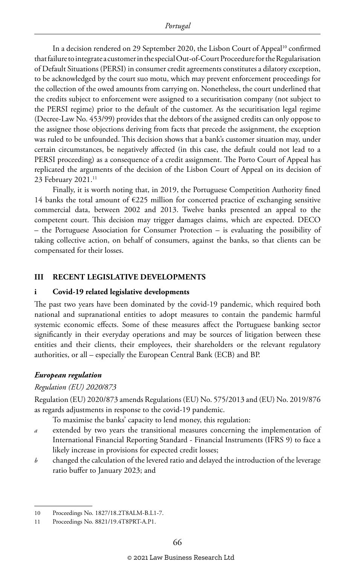In a decision rendered on 29 September 2020, the Lisbon Court of Appeal<sup>10</sup> confirmed that failure to integrate a customer in the special Out-of-Court Proceedure for the Regularisation of Default Situations (PERSI) in consumer credit agreements constitutes a dilatory exception, to be acknowledged by the court suo motu, which may prevent enforcement proceedings for the collection of the owed amounts from carrying on. Nonetheless, the court underlined that the credits subject to enforcement were assigned to a securitisation company (not subject to the PERSI regime) prior to the default of the customer. As the securitisation legal regime (Decree-Law No. 453/99) provides that the debtors of the assigned credits can only oppose to the assignee those objections deriving from facts that precede the assignment, the exception was ruled to be unfounded. This decision shows that a bank's customer situation may, under certain circumstances, be negatively affected (in this case, the default could not lead to a PERSI proceeding) as a consequence of a credit assignment. The Porto Court of Appeal has replicated the arguments of the decision of the Lisbon Court of Appeal on its decision of 23 February 2021.11

Finally, it is worth noting that, in 2019, the Portuguese Competition Authority fined 14 banks the total amount of €225 million for concerted practice of exchanging sensitive commercial data, between 2002 and 2013. Twelve banks presented an appeal to the competent court. This decision may trigger damages claims, which are expected. DECO – the Portuguese Association for Consumer Protection – is evaluating the possibility of taking collective action, on behalf of consumers, against the banks, so that clients can be compensated for their losses.

#### **III RECENT LEGISLATIVE DEVELOPMENTS**

#### **i Covid-19 related legislative developments**

The past two years have been dominated by the covid-19 pandemic, which required both national and supranational entities to adopt measures to contain the pandemic harmful systemic economic effects. Some of these measures affect the Portuguese banking sector significantly in their everyday operations and may be sources of litigation between these entities and their clients, their employees, their shareholders or the relevant regulatory authorities, or all – especially the European Central Bank (ECB) and BP.

#### *European regulation*

#### *Regulation (EU) 2020/873*

Regulation (EU) 2020/873 amends Regulations (EU) No. 575/2013 and (EU) No. 2019/876 as regards adjustments in response to the covid-19 pandemic.

To maximise the banks' capacity to lend money, this regulation:

- *a* extended by two years the transitional measures concerning the implementation of International Financial Reporting Standard - Financial Instruments (IFRS 9) to face a likely increase in provisions for expected credit losses;
- *b* changed the calculation of the levered ratio and delayed the introduction of the leverage ratio buffer to January 2023; and

<sup>10</sup> Proceedings No. 1827/18.2T8ALM-B.L1-7.

<sup>11</sup> Proceedings No. 8821/19.4T8PRT-A.P1.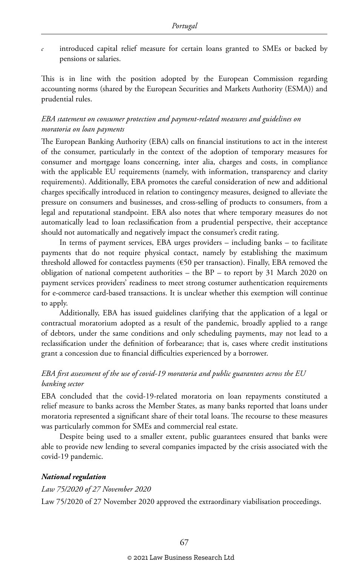*c* introduced capital relief measure for certain loans granted to SMEs or backed by pensions or salaries.

This is in line with the position adopted by the European Commission regarding accounting norms (shared by the European Securities and Markets Authority (ESMA)) and prudential rules.

#### *EBA statement on consumer protection and payment-related measures and guidelines on moratoria on loan payments*

The European Banking Authority (EBA) calls on financial institutions to act in the interest of the consumer, particularly in the context of the adoption of temporary measures for consumer and mortgage loans concerning, inter alia, charges and costs, in compliance with the applicable EU requirements (namely, with information, transparency and clarity requirements). Additionally, EBA promotes the careful consideration of new and additional charges specifically introduced in relation to contingency measures, designed to alleviate the pressure on consumers and businesses, and cross-selling of products to consumers, from a legal and reputational standpoint. EBA also notes that where temporary measures do not automatically lead to loan reclassification from a prudential perspective, their acceptance should not automatically and negatively impact the consumer's credit rating.

In terms of payment services, EBA urges providers – including banks – to facilitate payments that do not require physical contact, namely by establishing the maximum threshold allowed for contactless payments (€50 per transaction). Finally, EBA removed the obligation of national competent authorities – the BP – to report by 31 March 2020 on payment services providers' readiness to meet strong costumer authentication requirements for e-commerce card-based transactions. It is unclear whether this exemption will continue to apply.

Additionally, EBA has issued guidelines clarifying that the application of a legal or contractual moratorium adopted as a result of the pandemic, broadly applied to a range of debtors, under the same conditions and only scheduling payments, may not lead to a reclassification under the definition of forbearance; that is, cases where credit institutions grant a concession due to financial difficulties experienced by a borrower.

#### *EBA first assessment of the use of covid-19 moratoria and public guarantees across the EU banking sector*

EBA concluded that the covid-19-related moratoria on loan repayments constituted a relief measure to banks across the Member States, as many banks reported that loans under moratoria represented a significant share of their total loans. The recourse to these measures was particularly common for SMEs and commercial real estate.

Despite being used to a smaller extent, public guarantees ensured that banks were able to provide new lending to several companies impacted by the crisis associated with the covid-19 pandemic.

#### *National regulation*

*Law 75/2020 of 27 November 2020* Law 75/2020 of 27 November 2020 approved the extraordinary viabilisation proceedings.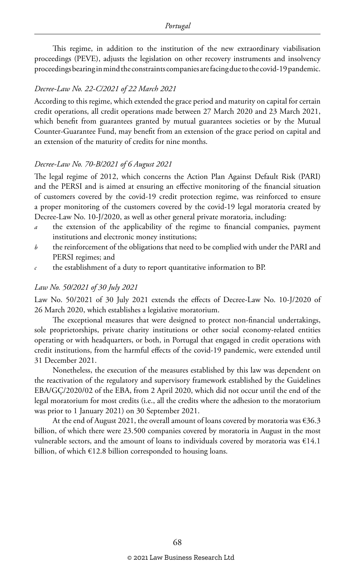This regime, in addition to the institution of the new extraordinary viabilisation proceedings (PEVE), adjusts the legislation on other recovery instruments and insolvency proceedings bearing in mind the constraints companies are facing due to the covid-19 pandemic.

#### *Decree-Law No. 22-C/2021 of 22 March 2021*

According to this regime, which extended the grace period and maturity on capital for certain credit operations, all credit operations made between 27 March 2020 and 23 March 2021, which benefit from guarantees granted by mutual guarantees societies or by the Mutual Counter-Guarantee Fund, may benefit from an extension of the grace period on capital and an extension of the maturity of credits for nine months.

#### *Decree-Law No. 70-B/2021 of 6 August 2021*

The legal regime of 2012, which concerns the Action Plan Against Default Risk (PARI) and the PERSI and is aimed at ensuring an effective monitoring of the financial situation of customers covered by the covid-19 credit protection regime, was reinforced to ensure a proper monitoring of the customers covered by the covid-19 legal moratoria created by Decree-Law No. 10-J/2020, as well as other general private moratoria, including:

- *a* the extension of the applicability of the regime to financial companies, payment institutions and electronic money institutions;
- *b* the reinforcement of the obligations that need to be complied with under the PARI and PERSI regimes; and
- *c* the establishment of a duty to report quantitative information to BP.

#### *Law No. 50/2021 of 30 July 2021*

Law No. 50/2021 of 30 July 2021 extends the effects of Decree-Law No. 10-J/2020 of 26 March 2020, which establishes a legislative moratorium.

The exceptional measures that were designed to protect non-financial undertakings, sole proprietorships, private charity institutions or other social economy-related entities operating or with headquarters, or both, in Portugal that engaged in credit operations with credit institutions, from the harmful effects of the covid-19 pandemic, were extended until 31 December 2021.

Nonetheless, the execution of the measures established by this law was dependent on the reactivation of the regulatory and supervisory framework established by the Guidelines EBA/GÇ/2020/02 of the EBA, from 2 April 2020, which did not occur until the end of the legal moratorium for most credits (i.e., all the credits where the adhesion to the moratorium was prior to 1 January 2021) on 30 September 2021.

At the end of August 2021, the overall amount of loans covered by moratoria was  $\epsilon$ 36.3 billion, of which there were 23.500 companies covered by moratoria in August in the most vulnerable sectors, and the amount of loans to individuals covered by moratoria was  $€14.1$ billion, of which  $E12.8$  billion corresponded to housing loans.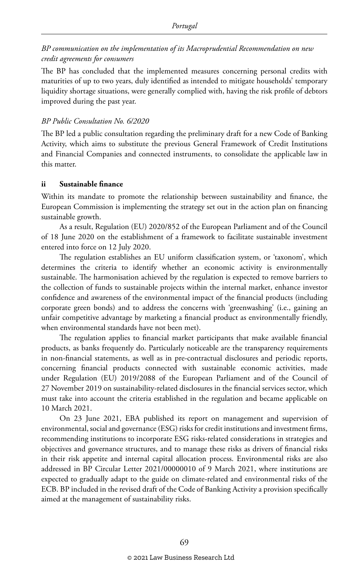#### *BP communication on the implementation of its Macroprudential Recommendation on new credit agreements for consumers*

The BP has concluded that the implemented measures concerning personal credits with maturities of up to two years, duly identified as intended to mitigate households' temporary liquidity shortage situations, were generally complied with, having the risk profile of debtors improved during the past year.

#### *BP Public Consultation No. 6/2020*

The BP led a public consultation regarding the preliminary draft for a new Code of Banking Activity, which aims to substitute the previous General Framework of Credit Institutions and Financial Companies and connected instruments, to consolidate the applicable law in this matter.

#### **ii Sustainable finance**

Within its mandate to promote the relationship between sustainability and finance, the European Commission is implementing the strategy set out in the action plan on financing sustainable growth.

As a result, Regulation (EU) 2020/852 of the European Parliament and of the Council of 18 June 2020 on the establishment of a framework to facilitate sustainable investment entered into force on 12 July 2020.

The regulation establishes an EU uniform classification system, or 'taxonom', which determines the criteria to identify whether an economic activity is environmentally sustainable. The harmonisation achieved by the regulation is expected to remove barriers to the collection of funds to sustainable projects within the internal market, enhance investor confidence and awareness of the environmental impact of the financial products (including corporate green bonds) and to address the concerns with 'greenwashing' (i.e., gaining an unfair competitive advantage by marketing a financial product as environmentally friendly, when environmental standards have not been met).

The regulation applies to financial market participants that make available financial products, as banks frequently do. Particularly noticeable are the transparency requirements in non-financial statements, as well as in pre-contractual disclosures and periodic reports, concerning financial products connected with sustainable economic activities, made under Regulation (EU) 2019/2088 of the European Parliament and of the Council of 27 November 2019 on sustainability-related disclosures in the financial services sector, which must take into account the criteria established in the regulation and became applicable on 10 March 2021.

On 23 June 2021, EBA published its report on management and supervision of environmental, social and governance (ESG) risks for credit institutions and investment firms, recommending institutions to incorporate ESG risks-related considerations in strategies and objectives and governance structures, and to manage these risks as drivers of financial risks in their risk appetite and internal capital allocation process. Environmental risks are also addressed in BP Circular Letter 2021/00000010 of 9 March 2021, where institutions are expected to gradually adapt to the guide on climate-related and environmental risks of the ECB. BP included in the revised draft of the Code of Banking Activity a provision specifically aimed at the management of sustainability risks.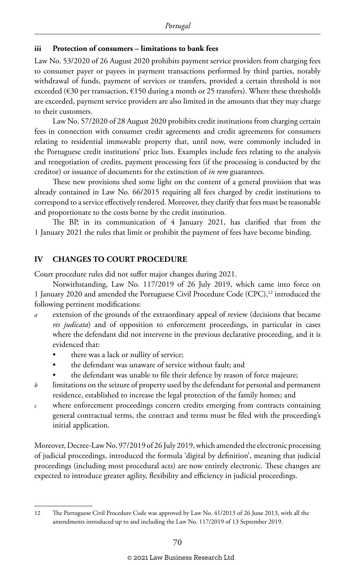#### **iii Protection of consumers – limitations to bank fees**

Law No. 53/2020 of 26 August 2020 prohibits payment service providers from charging fees to consumer payer or payees in payment transactions performed by third parties, notably withdrawal of funds, payment of services or transfers, provided a certain threshold is not exceeded (€30 per transaction, €150 during a month or 25 transfers). Where these thresholds are exceeded, payment service providers are also limited in the amounts that they may charge to their customers.

Law No. 57/2020 of 28 August 2020 prohibits credit institutions from charging certain fees in connection with consumer credit agreements and credit agreements for consumers relating to residential immovable property that, until now, were commonly included in the Portuguese credit institutions' price lists. Examples include fees relating to the analysis and renegotiation of credits, payment processing fees (if the processing is conducted by the creditor) or issuance of documents for the extinction of *in rem* guarantees.

These new provisions shed some light on the content of a general provision that was already contained in Law No. 66/2015 requiring all fees charged by credit institutions to correspond to a service effectively rendered. Moreover, they clarify that fees must be reasonable and proportionate to the costs borne by the credit institution.

The BP, in its communication of 4 January 2021, has clarified that from the 1 January 2021 the rules that limit or prohibit the payment of fees have become binding.

#### **IV CHANGES TO COURT PROCEDURE**

Court procedure rules did not suffer major changes during 2021.

Notwithstanding, Law No. 117/2019 of 26 July 2019, which came into force on 1 January 2020 and amended the Portuguese Civil Procedure Code (CPC),<sup>12</sup> introduced the following pertinent modifications:

- *a* extension of the grounds of the extraordinary appeal of review (decisions that became *res judicata*) and of opposition to enforcement proceedings, in particular in cases where the defendant did not intervene in the previous declarative proceeding, and it is evidenced that:
	- there was a lack or nullity of service;
	- the defendant was unaware of service without fault; and
	- the defendant was unable to file their defence by reason of force majeure;
- *b* limitations on the seizure of property used by the defendant for personal and permanent residence, established to increase the legal protection of the family homes; and
- *c* where enforcement proceedings concern credits emerging from contracts containing general contractual terms, the contract and terms must be filed with the proceeding's initial application.

Moreover, Decree-Law No. 97/2019 of 26 July 2019, which amended the electronic processing of judicial proceedings, introduced the formula 'digital by definition', meaning that judicial proceedings (including most procedural acts) are now entirely electronic. These changes are expected to introduce greater agility, flexibility and efficiency in judicial proceedings.

<sup>12</sup> The Portuguese Civil Procedure Code was approved by Law No. 41/2013 of 26 June 2013, with all the amendments introduced up to and including the Law No. 117/2019 of 13 September 2019.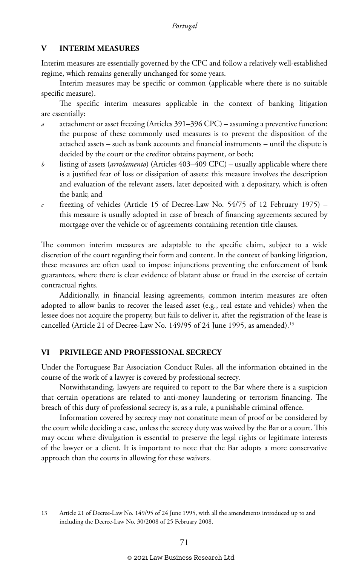#### **V INTERIM MEASURES**

Interim measures are essentially governed by the CPC and follow a relatively well-established regime, which remains generally unchanged for some years.

Interim measures may be specific or common (applicable where there is no suitable specific measure).

The specific interim measures applicable in the context of banking litigation are essentially:

- *a* attachment or asset freezing (Articles 391–396 CPC) assuming a preventive function: the purpose of these commonly used measures is to prevent the disposition of the attached assets – such as bank accounts and financial instruments – until the dispute is decided by the court or the creditor obtains payment, or both;
- *b* listing of assets (*arrolamento*) (Articles 403–409 CPC) usually applicable where there is a justified fear of loss or dissipation of assets: this measure involves the description and evaluation of the relevant assets, later deposited with a depositary, which is often the bank; and
- *c* freezing of vehicles (Article 15 of Decree-Law No. 54/75 of 12 February 1975) this measure is usually adopted in case of breach of financing agreements secured by mortgage over the vehicle or of agreements containing retention title clauses.

The common interim measures are adaptable to the specific claim, subject to a wide discretion of the court regarding their form and content. In the context of banking litigation, these measures are often used to impose injunctions preventing the enforcement of bank guarantees, where there is clear evidence of blatant abuse or fraud in the exercise of certain contractual rights.

Additionally, in financial leasing agreements, common interim measures are often adopted to allow banks to recover the leased asset (e.g., real estate and vehicles) when the lessee does not acquire the property, but fails to deliver it, after the registration of the lease is cancelled (Article 21 of Decree-Law No. 149/95 of 24 June 1995, as amended).<sup>13</sup>

#### **VI PRIVILEGE AND PROFESSIONAL SECRECY**

Under the Portuguese Bar Association Conduct Rules, all the information obtained in the course of the work of a lawyer is covered by professional secrecy.

Notwithstanding, lawyers are required to report to the Bar where there is a suspicion that certain operations are related to anti-money laundering or terrorism financing. The breach of this duty of professional secrecy is, as a rule, a punishable criminal offence.

Information covered by secrecy may not constitute mean of proof or be considered by the court while deciding a case, unless the secrecy duty was waived by the Bar or a court. This may occur where divulgation is essential to preserve the legal rights or legitimate interests of the lawyer or a client. It is important to note that the Bar adopts a more conservative approach than the courts in allowing for these waivers.

<sup>13</sup> Article 21 of Decree-Law No. 149/95 of 24 June 1995, with all the amendments introduced up to and including the Decree-Law No. 30/2008 of 25 February 2008.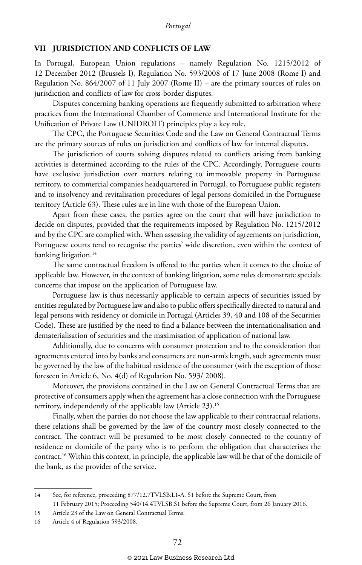#### **VII JURISDICTION AND CONFLICTS OF LAW**

In Portugal, European Union regulations – namely Regulation No. 1215/2012 of 12 December 2012 (Brussels I), Regulation No. 593/2008 of 17 June 2008 (Rome I) and Regulation No. 864/2007 of 11 July 2007 (Rome II) – are the primary sources of rules on jurisdiction and conflicts of law for cross-border disputes.

Disputes concerning banking operations are frequently submitted to arbitration where practices from the International Chamber of Commerce and International Institute for the Unification of Private Law (UNIDROIT) principles play a key role.

The CPC, the Portuguese Securities Code and the Law on General Contractual Terms are the primary sources of rules on jurisdiction and conflicts of law for internal disputes.

The jurisdiction of courts solving disputes related to conflicts arising from banking activities is determined according to the rules of the CPC. Accordingly, Portuguese courts have exclusive jurisdiction over matters relating to immovable property in Portuguese territory, to commercial companies headquartered in Portugal, to Portuguese public registers and to insolvency and revitalisation procedures of legal persons domiciled in the Portuguese territory (Article 63). These rules are in line with those of the European Union.

Apart from these cases, the parties agree on the court that will have jurisdiction to decide on disputes, provided that the requirements imposed by Regulation No. 1215/2012 and by the CPC are complied with. When assessing the validity of agreements on jurisdiction, Portuguese courts tend to recognise the parties' wide discretion, even within the context of banking litigation.<sup>14</sup>

The same contractual freedom is offered to the parties when it comes to the choice of applicable law. However, in the context of banking litigation, some rules demonstrate specials concerns that impose on the application of Portuguese law.

Portuguese law is thus necessarily applicable to certain aspects of securities issued by entities regulated by Portuguese law and also to public offers specifically directed to natural and legal persons with residency or domicile in Portugal (Articles 39, 40 and 108 of the Securities Code). These are justified by the need to find a balance between the internationalisation and dematerialisation of securities and the maximisation of application of national law.

Additionally, due to concerns with consumer protection and to the consideration that agreements entered into by banks and consumers are non-arm's length, such agreements must be governed by the law of the habitual residence of the consumer (with the exception of those foreseen in Article 6, No. 4(d) of Regulation No. 593/ 2008).

Moreover, the provisions contained in the Law on General Contractual Terms that are protective of consumers apply when the agreement has a close connection with the Portuguese territory, independently of the applicable law (Article 23).15

Finally, when the parties do not choose the law applicable to their contractual relations, these relations shall be governed by the law of the country most closely connected to the contract. The contract will be presumed to be most closely connected to the country of residence or domicile of the party who is to perform the obligation that characterises the contract.16 Within this context, in principle, the applicable law will be that of the domicile of the bank, as the provider of the service.

<sup>14</sup> See, for reference, proceeding 877/12.7TVLSB.L1-A. S1 before the Supreme Court, from

<sup>11</sup> February 2015; Proceeding 540/14.4TVLSB.S1 before the Supreme Court, from 26 January 2016.

<sup>15</sup> Article 23 of the Law on General Contractual Terms.

<sup>16</sup> Article 4 of Regulation 593/2008.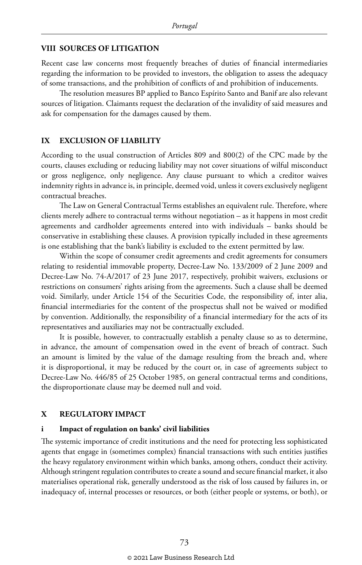#### **VIII SOURCES OF LITIGATION**

Recent case law concerns most frequently breaches of duties of financial intermediaries regarding the information to be provided to investors, the obligation to assess the adequacy of some transactions, and the prohibition of conflicts of and prohibition of inducements.

The resolution measures BP applied to Banco Espírito Santo and Banif are also relevant sources of litigation. Claimants request the declaration of the invalidity of said measures and ask for compensation for the damages caused by them.

#### **IX EXCLUSION OF LIABILITY**

According to the usual construction of Articles 809 and 800(2) of the CPC made by the courts, clauses excluding or reducing liability may not cover situations of wilful misconduct or gross negligence, only negligence. Any clause pursuant to which a creditor waives indemnity rights in advance is, in principle, deemed void, unless it covers exclusively negligent contractual breaches.

The Law on General Contractual Terms establishes an equivalent rule. Therefore, where clients merely adhere to contractual terms without negotiation – as it happens in most credit agreements and cardholder agreements entered into with individuals – banks should be conservative in establishing these clauses. A provision typically included in these agreements is one establishing that the bank's liability is excluded to the extent permitted by law.

Within the scope of consumer credit agreements and credit agreements for consumers relating to residential immovable property, Decree-Law No. 133/2009 of 2 June 2009 and Decree-Law No. 74-A/2017 of 23 June 2017, respectively, prohibit waivers, exclusions or restrictions on consumers' rights arising from the agreements. Such a clause shall be deemed void. Similarly, under Article 154 of the Securities Code, the responsibility of, inter alia, financial intermediaries for the content of the prospectus shall not be waived or modified by convention. Additionally, the responsibility of a financial intermediary for the acts of its representatives and auxiliaries may not be contractually excluded.

It is possible, however, to contractually establish a penalty clause so as to determine, in advance, the amount of compensation owed in the event of breach of contract. Such an amount is limited by the value of the damage resulting from the breach and, where it is disproportional, it may be reduced by the court or, in case of agreements subject to Decree-Law No. 446/85 of 25 October 1985, on general contractual terms and conditions, the disproportionate clause may be deemed null and void.

#### **X REGULATORY IMPACT**

#### **i Impact of regulation on banks' civil liabilities**

The systemic importance of credit institutions and the need for protecting less sophisticated agents that engage in (sometimes complex) financial transactions with such entities justifies the heavy regulatory environment within which banks, among others, conduct their activity. Although stringent regulation contributes to create a sound and secure financial market, it also materialises operational risk, generally understood as the risk of loss caused by failures in, or inadequacy of, internal processes or resources, or both (either people or systems, or both), or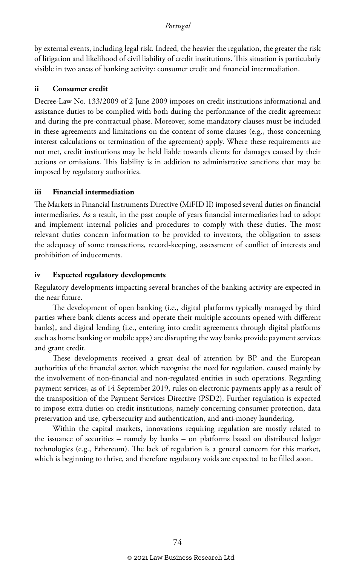by external events, including legal risk. Indeed, the heavier the regulation, the greater the risk of litigation and likelihood of civil liability of credit institutions. This situation is particularly visible in two areas of banking activity: consumer credit and financial intermediation.

#### **ii Consumer credit**

Decree-Law No. 133/2009 of 2 June 2009 imposes on credit institutions informational and assistance duties to be complied with both during the performance of the credit agreement and during the pre-contractual phase. Moreover, some mandatory clauses must be included in these agreements and limitations on the content of some clauses (e.g., those concerning interest calculations or termination of the agreement) apply. Where these requirements are not met, credit institutions may be held liable towards clients for damages caused by their actions or omissions. This liability is in addition to administrative sanctions that may be imposed by regulatory authorities.

#### **iii Financial intermediation**

The Markets in Financial Instruments Directive (MiFID II) imposed several duties on financial intermediaries. As a result, in the past couple of years financial intermediaries had to adopt and implement internal policies and procedures to comply with these duties. The most relevant duties concern information to be provided to investors, the obligation to assess the adequacy of some transactions, record-keeping, assessment of conflict of interests and prohibition of inducements.

#### **iv Expected regulatory developments**

Regulatory developments impacting several branches of the banking activity are expected in the near future.

The development of open banking (i.e., digital platforms typically managed by third parties where bank clients access and operate their multiple accounts opened with different banks), and digital lending (i.e., entering into credit agreements through digital platforms such as home banking or mobile apps) are disrupting the way banks provide payment services and grant credit.

These developments received a great deal of attention by BP and the European authorities of the financial sector, which recognise the need for regulation, caused mainly by the involvement of non-financial and non-regulated entities in such operations. Regarding payment services, as of 14 September 2019, rules on electronic payments apply as a result of the transposition of the Payment Services Directive (PSD2). Further regulation is expected to impose extra duties on credit institutions, namely concerning consumer protection, data preservation and use, cybersecurity and authentication, and anti-money laundering.

Within the capital markets, innovations requiring regulation are mostly related to the issuance of securities – namely by banks – on platforms based on distributed ledger technologies (e.g., Ethereum). The lack of regulation is a general concern for this market, which is beginning to thrive, and therefore regulatory voids are expected to be filled soon.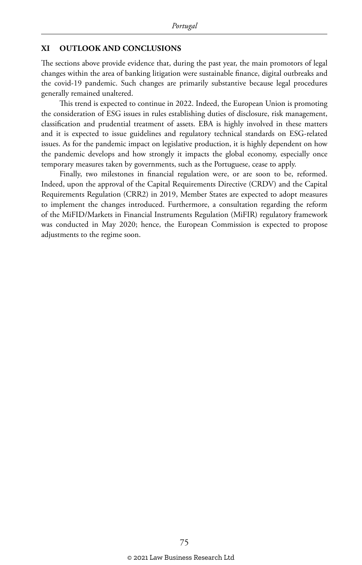#### **XI OUTLOOK AND CONCLUSIONS**

The sections above provide evidence that, during the past year, the main promotors of legal changes within the area of banking litigation were sustainable finance, digital outbreaks and the covid-19 pandemic. Such changes are primarily substantive because legal procedures generally remained unaltered.

This trend is expected to continue in 2022. Indeed, the European Union is promoting the consideration of ESG issues in rules establishing duties of disclosure, risk management, classification and prudential treatment of assets. EBA is highly involved in these matters and it is expected to issue guidelines and regulatory technical standards on ESG-related issues. As for the pandemic impact on legislative production, it is highly dependent on how the pandemic develops and how strongly it impacts the global economy, especially once temporary measures taken by governments, such as the Portuguese, cease to apply.

Finally, two milestones in financial regulation were, or are soon to be, reformed. Indeed, upon the approval of the Capital Requirements Directive (CRDV) and the Capital Requirements Regulation (CRR2) in 2019, Member States are expected to adopt measures to implement the changes introduced. Furthermore, a consultation regarding the reform of the MiFID/Markets in Financial Instruments Regulation (MiFIR) regulatory framework was conducted in May 2020; hence, the European Commission is expected to propose adjustments to the regime soon.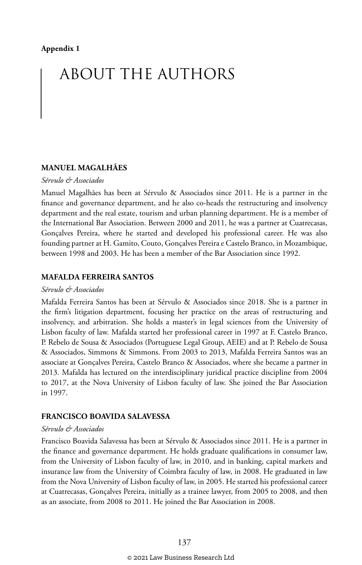# ABOUT THE AUTHORS

#### **MANUEL MAGALHÃES**

#### *Sérvulo & Associados*

Manuel Magalhães has been at Sérvulo & Associados since 2011. He is a partner in the finance and governance department, and he also co-heads the restructuring and insolvency department and the real estate, tourism and urban planning department. He is a member of the International Bar Association. Between 2000 and 2011, he was a partner at Cuatrecasas, Gonçalves Pereira, where he started and developed his professional career. He was also founding partner at H. Gamito, Couto, Gonçalves Pereira e Castelo Branco, in Mozambique, between 1998 and 2003. He has been a member of the Bar Association since 1992.

#### **MAFALDA FERREIRA SANTOS**

#### *Sérvulo & Associados*

Mafalda Ferreira Santos has been at Sérvulo & Associados since 2018. She is a partner in the firm's litigation department, focusing her practice on the areas of restructuring and insolvency, and arbitration. She holds a master's in legal sciences from the University of Lisbon faculty of law. Mafalda started her professional career in 1997 at F. Castelo Branco, P. Rebelo de Sousa & Associados (Portuguese Legal Group, AEIE) and at P. Rebelo de Sousa & Associados, Simmons & Simmons. From 2003 to 2013, Mafalda Ferreira Santos was an associate at Gonçalves Pereira, Castelo Branco & Associados, where she became a partner in 2013. Mafalda has lectured on the interdisciplinary juridical practice discipline from 2004 to 2017, at the Nova University of Lisbon faculty of law. She joined the Bar Association in 1997.

#### **FRANCISCO BOAVIDA SALAVESSA**

#### *Sérvulo & Associados*

Francisco Boavida Salavessa has been at Sérvulo & Associados since 2011. He is a partner in the finance and governance department. He holds graduate qualifications in consumer law, from the University of Lisbon faculty of law, in 2010, and in banking, capital markets and insurance law from the University of Coimbra faculty of law, in 2008. He graduated in law from the Nova University of Lisbon faculty of law, in 2005. He started his professional career at Cuatrecasas, Gonçalves Pereira, initially as a trainee lawyer, from 2005 to 2008, and then as an associate, from 2008 to 2011. He joined the Bar Association in 2008.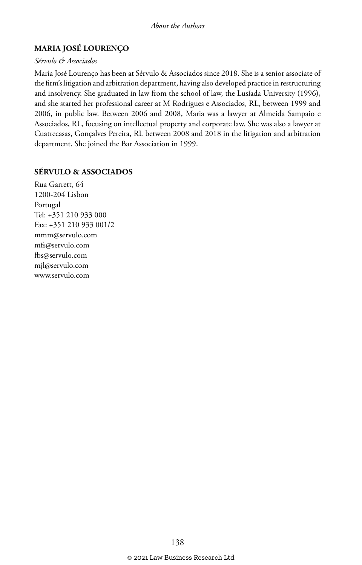#### **MARIA JOSÉ LOURENÇO**

#### *Sérvulo & Associados*

Maria José Lourenço has been at Sérvulo & Associados since 2018. She is a senior associate of the firm's litigation and arbitration department, having also developed practice in restructuring and insolvency. She graduated in law from the school of law, the Lusíada University (1996), and she started her professional career at M Rodrigues e Associados, RL, between 1999 and 2006, in public law. Between 2006 and 2008, Maria was a lawyer at Almeida Sampaio e Associados, RL, focusing on intellectual property and corporate law. She was also a lawyer at Cuatrecasas, Gonçalves Pereira, RL between 2008 and 2018 in the litigation and arbitration department. She joined the Bar Association in 1999.

#### **SÉRVULO & ASSOCIADOS**

Rua Garrett, 64 1200-204 Lisbon Portugal Tel: +351 210 933 000 Fax: +351 210 933 001/2 mmm@servulo.com mfs@servulo.com fbs@servulo.com mjl@servulo.com www.servulo.com